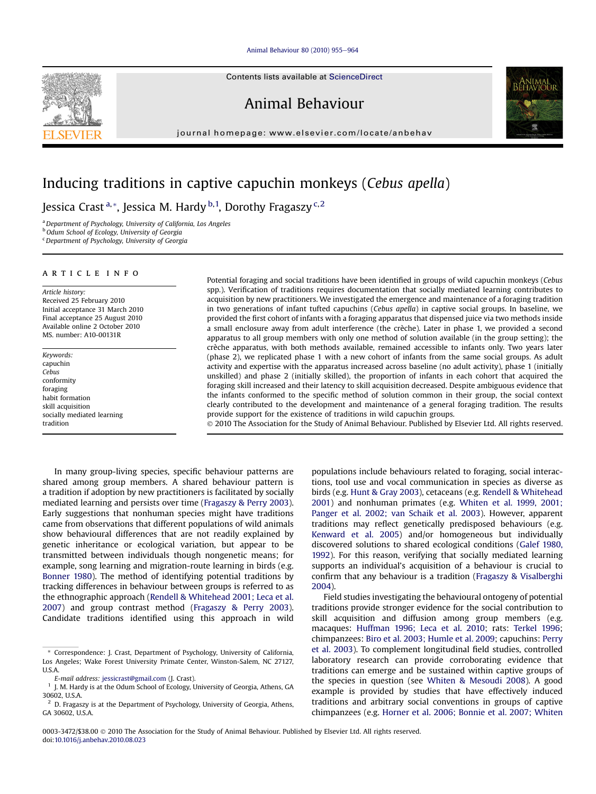# [Animal Behaviour 80 \(2010\) 955](http://dx.doi.org/10.1016/j.anbehav.2010.08.023)-[964](http://dx.doi.org/10.1016/j.anbehav.2010.08.023)

Contents lists available at ScienceDirect

Animal Behaviour

journal homepage: [www.elsevier.com/locate/anbehav](http://www.elsevier.com/locate/anbehav)



# Inducing traditions in captive capuchin monkeys (Cebus apella)

Jessica Crast<sup>a,</sup>\*, Jessica M. Hardy <sup>b,1</sup>, Dorothy Fragaszy <sup>c,2</sup>

<sup>a</sup> Department of Psychology, University of California, Los Angeles

**b** Odum School of Ecology, University of Georgia

 $c$  Department of Psychology, University of Georgia

## article info

Article history: Received 25 February 2010 Initial acceptance 31 March 2010 Final acceptance 25 August 2010 Available online 2 October 2010 MS. number: A10-00131R

Keywords: capuchin Cebus conformity foraging habit formation skill acquisition socially mediated learning tradition

Potential foraging and social traditions have been identified in groups of wild capuchin monkeys (Cebus spp.). Verification of traditions requires documentation that socially mediated learning contributes to acquisition by new practitioners. We investigated the emergence and maintenance of a foraging tradition in two generations of infant tufted capuchins (Cebus apella) in captive social groups. In baseline, we provided the first cohort of infants with a foraging apparatus that dispensed juice via two methods inside a small enclosure away from adult interference (the crèche). Later in phase 1, we provided a second apparatus to all group members with only one method of solution available (in the group setting); the crèche apparatus, with both methods available, remained accessible to infants only. Two years later (phase 2), we replicated phase 1 with a new cohort of infants from the same social groups. As adult activity and expertise with the apparatus increased across baseline (no adult activity), phase 1 (initially unskilled) and phase 2 (initially skilled), the proportion of infants in each cohort that acquired the foraging skill increased and their latency to skill acquisition decreased. Despite ambiguous evidence that the infants conformed to the specific method of solution common in their group, the social context clearly contributed to the development and maintenance of a general foraging tradition. The results provide support for the existence of traditions in wild capuchin groups.

2010 The Association for the Study of Animal Behaviour. Published by Elsevier Ltd. All rights reserved.

In many group-living species, specific behaviour patterns are shared among group members. A shared behaviour pattern is a tradition if adoption by new practitioners is facilitated by socially mediated learning and persists over time ([Fragaszy & Perry 2003\)](#page-8-0). Early suggestions that nonhuman species might have traditions came from observations that different populations of wild animals show behavioural differences that are not readily explained by genetic inheritance or ecological variation, but appear to be transmitted between individuals though nongenetic means; for example, song learning and migration-route learning in birds (e.g. [Bonner 1980\)](#page-8-0). The method of identifying potential traditions by tracking differences in behaviour between groups is referred to as the ethnographic approach [\(Rendell & Whitehead 2001; Leca et al.](#page-9-0) [2007\)](#page-9-0) and group contrast method ([Fragaszy & Perry 2003\)](#page-8-0). Candidate traditions identified using this approach in wild populations include behaviours related to foraging, social interactions, tool use and vocal communication in species as diverse as birds (e.g. [Hunt & Gray 2003\)](#page-8-0), cetaceans (e.g. [Rendell & Whitehead](#page-9-0) [2001](#page-9-0)) and nonhuman primates (e.g. [Whiten et al. 1999, 2001;](#page-9-0) [Panger et al. 2002; van Schaik et al. 2003](#page-9-0)). However, apparent traditions may reflect genetically predisposed behaviours (e.g. [Kenward et al. 2005\)](#page-8-0) and/or homogeneous but individually discovered solutions to shared ecological conditions [\(Galef 1980,](#page-8-0) [1992\)](#page-8-0). For this reason, verifying that socially mediated learning supports an individual's acquisition of a behaviour is crucial to confirm that any behaviour is a tradition ([Fragaszy & Visalberghi](#page-8-0) [2004\)](#page-8-0).

Field studies investigating the behavioural ontogeny of potential traditions provide stronger evidence for the social contribution to skill acquisition and diffusion among group members (e.g. macaques: [Huffman 1996; Leca et al. 2010;](#page-8-0) rats: [Terkel 1996;](#page-9-0) chimpanzees: [Biro et al. 2003; Humle et al. 2009;](#page-8-0) capuchins: [Perry](#page-8-0) [et al. 2003\)](#page-8-0). To complement longitudinal field studies, controlled laboratory research can provide corroborating evidence that traditions can emerge and be sustained within captive groups of the species in question (see [Whiten & Mesoudi 2008](#page-9-0)). A good example is provided by studies that have effectively induced traditions and arbitrary social conventions in groups of captive chimpanzees (e.g. [Horner et al. 2006; Bonnie et al. 2007; Whiten](#page-8-0)

<sup>\*</sup> Correspondence: J. Crast, Department of Psychology, University of California, Los Angeles; Wake Forest University Primate Center, Winston-Salem, NC 27127, U.S.A.

E-mail address: [jessicrast@gmail.com](mailto:jessicrast@gmail.com) (J. Crast).

<sup>1</sup> J. M. Hardy is at the Odum School of Ecology, University of Georgia, Athens, GA 30602, U.S.A.

 $2$  D. Fragaszy is at the Department of Psychology, University of Georgia, Athens, GA 30602, U.S.A.

<sup>0003-3472/\$38.00</sup> 2010 The Association for the Study of Animal Behaviour. Published by Elsevier Ltd. All rights reserved. doi[:10.1016/j.anbehav.2010.08.023](http://dx.doi.org/10.1016/j.anbehav.2010.08.023)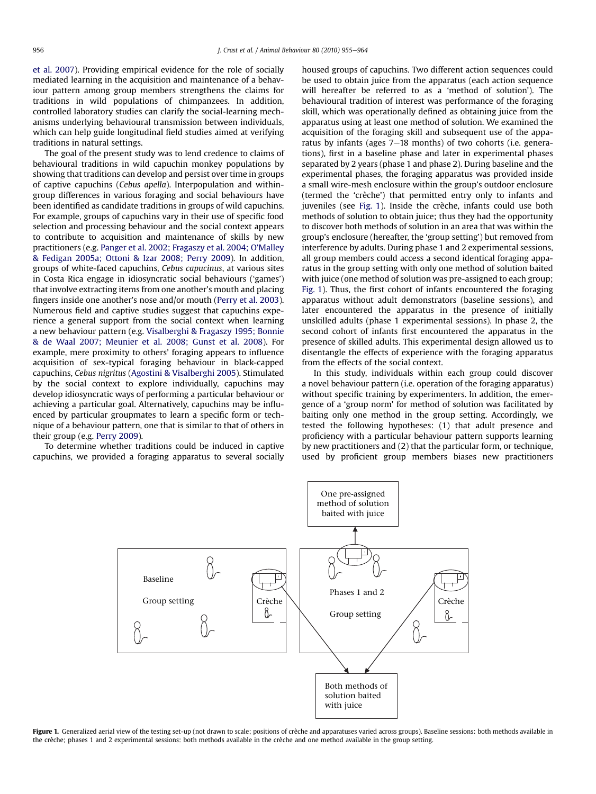[et al. 2007](#page-8-0)). Providing empirical evidence for the role of socially mediated learning in the acquisition and maintenance of a behaviour pattern among group members strengthens the claims for traditions in wild populations of chimpanzees. In addition, controlled laboratory studies can clarify the social-learning mechanisms underlying behavioural transmission between individuals, which can help guide longitudinal field studies aimed at verifying traditions in natural settings.

The goal of the present study was to lend credence to claims of behavioural traditions in wild capuchin monkey populations by showing that traditions can develop and persist over time in groups of captive capuchins (Cebus apella). Interpopulation and withingroup differences in various foraging and social behaviours have been identified as candidate traditions in groups of wild capuchins. For example, groups of capuchins vary in their use of specific food selection and processing behaviour and the social context appears to contribute to acquisition and maintenance of skills by new practitioners (e.g. [Panger et al. 2002; Fragaszy et al. 2004; O](#page-8-0)'Malley [& Fedigan 2005a; Ottoni & Izar 2008; Perry 2009](#page-8-0)). In addition, groups of white-faced capuchins, Cebus capucinus, at various sites in Costa Rica engage in idiosyncratic social behaviours ('games') that involve extracting items from one another's mouth and placing fingers inside one another's nose and/or mouth [\(Perry et al. 2003](#page-8-0)). Numerous field and captive studies suggest that capuchins experience a general support from the social context when learning a new behaviour pattern (e.g. [Visalberghi & Fragaszy 1995; Bonnie](#page-9-0) [& de Waal 2007; Meunier et al. 2008; Gunst et al. 2008\)](#page-9-0). For example, mere proximity to others' foraging appears to influence acquisition of sex-typical foraging behaviour in black-capped capuchins, Cebus nigritus [\(Agostini & Visalberghi 2005\)](#page-8-0). Stimulated by the social context to explore individually, capuchins may develop idiosyncratic ways of performing a particular behaviour or achieving a particular goal. Alternatively, capuchins may be influenced by particular groupmates to learn a specific form or technique of a behaviour pattern, one that is similar to that of others in their group (e.g. [Perry 2009](#page-8-0)).

To determine whether traditions could be induced in captive capuchins, we provided a foraging apparatus to several socially housed groups of capuchins. Two different action sequences could be used to obtain juice from the apparatus (each action sequence will hereafter be referred to as a 'method of solution'). The behavioural tradition of interest was performance of the foraging skill, which was operationally defined as obtaining juice from the apparatus using at least one method of solution. We examined the acquisition of the foraging skill and subsequent use of the apparatus by infants (ages  $7-18$  months) of two cohorts (i.e. generations), first in a baseline phase and later in experimental phases separated by 2 years (phase 1 and phase 2). During baseline and the experimental phases, the foraging apparatus was provided inside a small wire-mesh enclosure within the group's outdoor enclosure (termed the 'crèche') that permitted entry only to infants and juveniles (see Fig. 1). Inside the crèche, infants could use both methods of solution to obtain juice; thus they had the opportunity to discover both methods of solution in an area that was within the group's enclosure (hereafter, the 'group setting') but removed from interference by adults. During phase 1 and 2 experimental sessions, all group members could access a second identical foraging apparatus in the group setting with only one method of solution baited with juice (one method of solution was pre-assigned to each group; Fig. 1). Thus, the first cohort of infants encountered the foraging apparatus without adult demonstrators (baseline sessions), and later encountered the apparatus in the presence of initially unskilled adults (phase 1 experimental sessions). In phase 2, the second cohort of infants first encountered the apparatus in the presence of skilled adults. This experimental design allowed us to disentangle the effects of experience with the foraging apparatus from the effects of the social context.

In this study, individuals within each group could discover a novel behaviour pattern (i.e. operation of the foraging apparatus) without specific training by experimenters. In addition, the emergence of a 'group norm' for method of solution was facilitated by baiting only one method in the group setting. Accordingly, we tested the following hypotheses: (1) that adult presence and proficiency with a particular behaviour pattern supports learning by new practitioners and (2) that the particular form, or technique, used by proficient group members biases new practitioners



Figure 1. Generalized aerial view of the testing set-up (not drawn to scale; positions of crèche and apparatuses varied across groups). Baseline sessions: both methods available in the crèche; phases 1 and 2 experimental sessions: both methods available in the crèche and one method available in the group setting.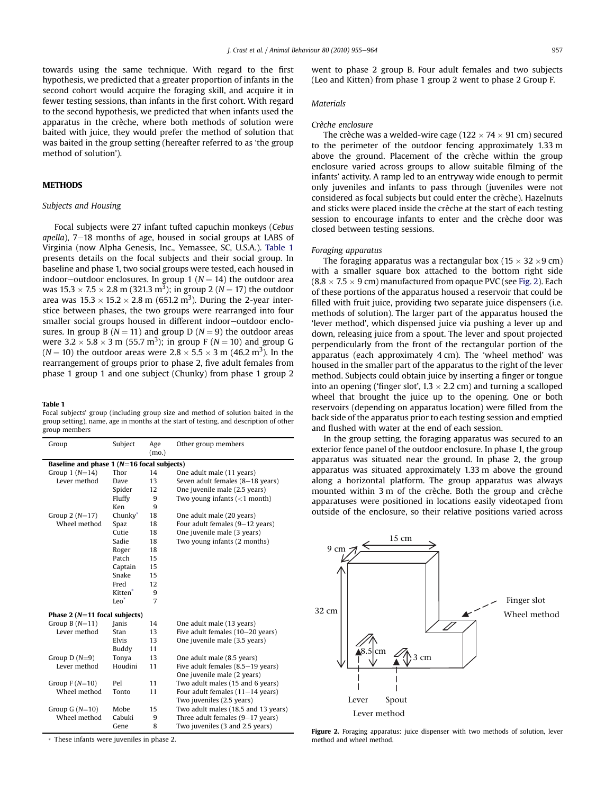<span id="page-2-0"></span>towards using the same technique. With regard to the first hypothesis, we predicted that a greater proportion of infants in the second cohort would acquire the foraging skill, and acquire it in fewer testing sessions, than infants in the first cohort. With regard to the second hypothesis, we predicted that when infants used the apparatus in the crèche, where both methods of solution were baited with juice, they would prefer the method of solution that was baited in the group setting (hereafter referred to as 'the group method of solution').

# **METHODS**

## Subjects and Housing

Focal subjects were 27 infant tufted capuchin monkeys (Cebus apella),  $7-18$  months of age, housed in social groups at LABS of Virginia (now Alpha Genesis, Inc., Yemassee, SC, U.S.A.). Table 1 presents details on the focal subjects and their social group. In baseline and phase 1, two social groups were tested, each housed in indoor-outdoor enclosures. In group 1 ( $N = 14$ ) the outdoor area was  $15.3 \times 7.5 \times 2.8 \text{ m } (321.3 \text{ m}^3)$ ; in group 2 (N = 17) the outdoor area was  $15.3 \times 15.2 \times 2.8 \text{ m } (651.2 \text{ m}^3)$ . During the 2-year interstice between phases, the two groups were rearranged into four smaller social groups housed in different indoor-outdoor enclosures. In group B ( $N = 11$ ) and group D ( $N = 9$ ) the outdoor areas were  $3.2 \times 5.8 \times 3$  m (55.7 m<sup>3</sup>); in group F (N = 10) and group G  $(N = 10)$  the outdoor areas were  $2.8 \times 5.5 \times 3$  m (46.2 m<sup>3</sup>). In the rearrangement of groups prior to phase 2, five adult females from phase 1 group 1 and one subject (Chunky) from phase 1 group 2

#### Table 1

Focal subjects' group (including group size and method of solution baited in the group setting), name, age in months at the start of testing, and description of other group members

| Group                                       | Subject | Age<br>(mo.) | Other group members                        |
|---------------------------------------------|---------|--------------|--------------------------------------------|
| Baseline and phase $1(N=16$ focal subjects) |         |              |                                            |
| Group $1(N=14)$                             | Thor    | 14           | One adult male (11 years)                  |
| Lever method                                | Dave    | 13           | Seven adult females (8-18 years)           |
|                                             | Spider  | 12           | One juvenile male (2.5 years)              |
|                                             | Fluffy  | 9            | Two young infants $(<1$ month)             |
|                                             | Ken     | 9            |                                            |
| Group $2(N=17)$                             | Chunky* | 18           | One adult male (20 years)                  |
| Wheel method                                | Spaz    | 18           | Four adult females (9-12 years)            |
|                                             | Cutie   | 18           | One juvenile male (3 years)                |
|                                             | Sadie   | 18           | Two young infants (2 months)               |
|                                             | Roger   | 18           |                                            |
|                                             | Patch   | 15           |                                            |
|                                             | Captain | 15           |                                            |
|                                             | Snake   | 15           |                                            |
|                                             | Fred    | 12           |                                            |
|                                             | Kitten* | 9            |                                            |
|                                             | $Leo^*$ | 7            |                                            |
| Phase $2(N=11$ focal subjects)              |         |              |                                            |
| Group B $(N=11)$                            | Janis   | 14           | One adult male (13 years)                  |
| Lever method                                | Stan    | 13           | Five adult females (10-20 years)           |
|                                             | Elvis   | 13           | One juvenile male (3.5 years)              |
|                                             | Buddy   | 11           |                                            |
| Group $D(N=9)$                              | Tonya   | 13           | One adult male (8.5 years)                 |
| Lever method                                | Houdini | 11           | Five adult females (8.5–19 years)          |
|                                             |         |              | One juvenile male (2 years)                |
| Group $F(N=10)$                             | Pel     | 11           | Two adult males (15 and 6 years)           |
| Wheel method                                | Tonto   | 11           | Four adult females $(11-14 \text{ years})$ |
|                                             |         |              | Two juveniles (2.5 years)                  |
| Group G $(N=10)$                            | Mobe    | 15           | Two adult males (18.5 and 13 years)        |
| Wheel method                                | Cabuki  | 9            | Three adult females (9-17 years)           |
|                                             | Gene    | 8            | Two juveniles (3 and 2.5 years)            |

\* These infants were juveniles in phase 2.

went to phase 2 group B. Four adult females and two subjects (Leo and Kitten) from phase 1 group 2 went to phase 2 Group F.

## Materials

#### Crèche enclosure

The crèche was a welded-wire cage ( $122 \times 74 \times 91$  cm) secured to the perimeter of the outdoor fencing approximately 1.33 m above the ground. Placement of the crèche within the group enclosure varied across groups to allow suitable filming of the infants' activity. A ramp led to an entryway wide enough to permit only juveniles and infants to pass through (juveniles were not considered as focal subjects but could enter the crèche). Hazelnuts and sticks were placed inside the crèche at the start of each testing session to encourage infants to enter and the crèche door was closed between testing sessions.

#### Foraging apparatus

The foraging apparatus was a rectangular box (15  $\times$  32  $\times$ 9 cm) with a smaller square box attached to the bottom right side  $(8.8 \times 7.5 \times 9 \text{ cm})$  manufactured from opaque PVC (see Fig. 2). Each of these portions of the apparatus housed a reservoir that could be filled with fruit juice, providing two separate juice dispensers (i.e. methods of solution). The larger part of the apparatus housed the 'lever method', which dispensed juice via pushing a lever up and down, releasing juice from a spout. The lever and spout projected perpendicularly from the front of the rectangular portion of the apparatus (each approximately 4 cm). The 'wheel method' was housed in the smaller part of the apparatus to the right of the lever method. Subjects could obtain juice by inserting a finger or tongue into an opening ('finger slot',  $1.3 \times 2.2$  cm) and turning a scalloped wheel that brought the juice up to the opening. One or both reservoirs (depending on apparatus location) were filled from the back side of the apparatus prior to each testing session and emptied and flushed with water at the end of each session.

In the group setting, the foraging apparatus was secured to an exterior fence panel of the outdoor enclosure. In phase 1, the group apparatus was situated near the ground. In phase 2, the group apparatus was situated approximately 1.33 m above the ground along a horizontal platform. The group apparatus was always mounted within 3 m of the crèche. Both the group and crèche apparatuses were positioned in locations easily videotaped from outside of the enclosure, so their relative positions varied across



Figure 2. Foraging apparatus: juice dispenser with two methods of solution, lever method and wheel method.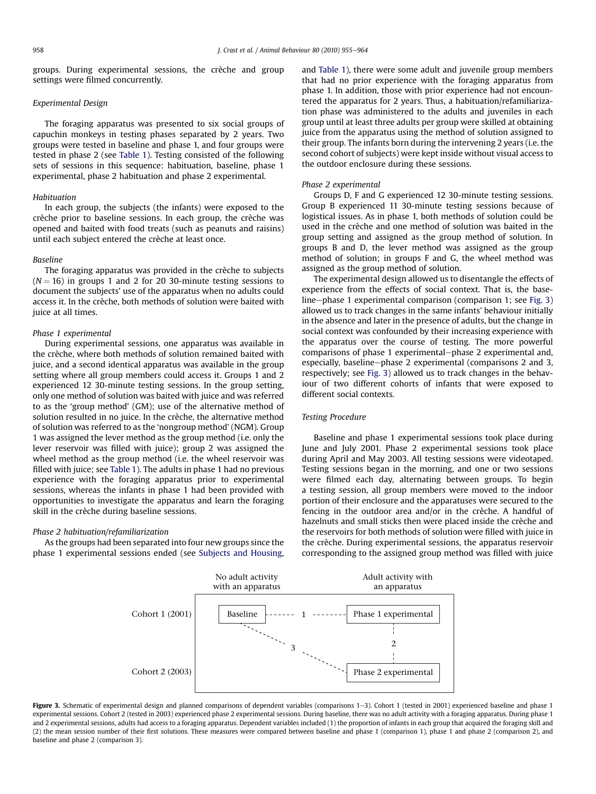<span id="page-3-0"></span>groups. During experimental sessions, the crèche and group settings were filmed concurrently.

## Experimental Design

The foraging apparatus was presented to six social groups of capuchin monkeys in testing phases separated by 2 years. Two groups were tested in baseline and phase 1, and four groups were tested in phase 2 (see [Table 1\)](#page-2-0). Testing consisted of the following sets of sessions in this sequence: habituation, baseline, phase 1 experimental, phase 2 habituation and phase 2 experimental.

#### Habituation

In each group, the subjects (the infants) were exposed to the crèche prior to baseline sessions. In each group, the crèche was opened and baited with food treats (such as peanuts and raisins) until each subject entered the crèche at least once.

# Baseline

The foraging apparatus was provided in the crèche to subjects  $(N = 16)$  in groups 1 and 2 for 20 30-minute testing sessions to document the subjects' use of the apparatus when no adults could access it. In the crèche, both methods of solution were baited with juice at all times.

#### Phase 1 experimental

During experimental sessions, one apparatus was available in the crèche, where both methods of solution remained baited with juice, and a second identical apparatus was available in the group setting where all group members could access it. Groups 1 and 2 experienced 12 30-minute testing sessions. In the group setting, only one method of solution was baited with juice and was referred to as the 'group method' (GM); use of the alternative method of solution resulted in no juice. In the crèche, the alternative method of solution was referred to as the 'nongroup method' (NGM). Group 1 was assigned the lever method as the group method (i.e. only the lever reservoir was filled with juice); group 2 was assigned the wheel method as the group method (i.e. the wheel reservoir was filled with juice; see [Table 1\)](#page-2-0). The adults in phase 1 had no previous experience with the foraging apparatus prior to experimental sessions, whereas the infants in phase 1 had been provided with opportunities to investigate the apparatus and learn the foraging skill in the crèche during baseline sessions.

# Phase 2 habituation/refamiliarization

As the groups had been separated into four new groups since the phase 1 experimental sessions ended (see [Subjects and Housing,](#page-2-0) and [Table 1\)](#page-2-0), there were some adult and juvenile group members that had no prior experience with the foraging apparatus from phase 1. In addition, those with prior experience had not encountered the apparatus for 2 years. Thus, a habituation/refamiliarization phase was administered to the adults and juveniles in each group until at least three adults per group were skilled at obtaining juice from the apparatus using the method of solution assigned to their group. The infants born during the intervening 2 years (i.e. the second cohort of subjects) were kept inside without visual access to the outdoor enclosure during these sessions.

#### Phase 2 experimental

Groups D, F and G experienced 12 30-minute testing sessions. Group B experienced 11 30-minute testing sessions because of logistical issues. As in phase 1, both methods of solution could be used in the crèche and one method of solution was baited in the group setting and assigned as the group method of solution. In groups B and D, the lever method was assigned as the group method of solution; in groups F and G, the wheel method was assigned as the group method of solution.

The experimental design allowed us to disentangle the effects of experience from the effects of social context. That is, the baseline-phase 1 experimental comparison (comparison 1; see Fig. 3) allowed us to track changes in the same infants' behaviour initially in the absence and later in the presence of adults, but the change in social context was confounded by their increasing experience with the apparatus over the course of testing. The more powerful comparisons of phase 1 experimental–phase 2 experimental and, especially, baseline-phase 2 experimental (comparisons 2 and 3, respectively; see Fig. 3) allowed us to track changes in the behaviour of two different cohorts of infants that were exposed to different social contexts.

## Testing Procedure

Baseline and phase 1 experimental sessions took place during June and July 2001. Phase 2 experimental sessions took place during April and May 2003. All testing sessions were videotaped. Testing sessions began in the morning, and one or two sessions were filmed each day, alternating between groups. To begin a testing session, all group members were moved to the indoor portion of their enclosure and the apparatuses were secured to the fencing in the outdoor area and/or in the crèche. A handful of hazelnuts and small sticks then were placed inside the crèche and the reservoirs for both methods of solution were filled with juice in the crèche. During experimental sessions, the apparatus reservoir corresponding to the assigned group method was filled with juice



Figure 3. Schematic of experimental design and planned comparisons of dependent variables (comparisons 1-3). Cohort 1 (tested in 2001) experienced baseline and phase 1 experimental sessions. Cohort 2 (tested in 2003) experienced phase 2 experimental sessions. During baseline, there was no adult activity with a foraging apparatus. During phase 1 and 2 experimental sessions, adults had access to a foraging apparatus. Dependent variables included (1) the proportion of infants in each group that acquired the foraging skill and (2) the mean session number of their first solutions. These measures were compared between baseline and phase 1 (comparison 1), phase 1 and phase 2 (comparison 2), and baseline and phase 2 (comparison 3).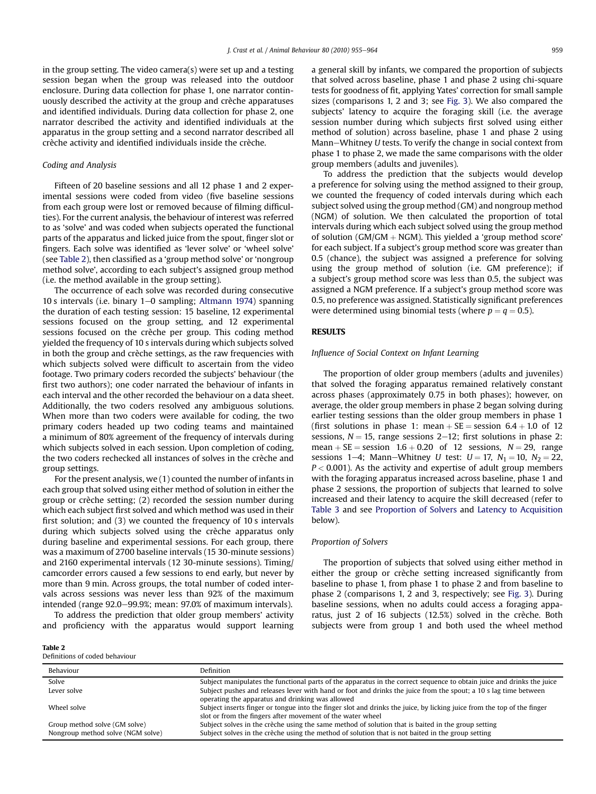in the group setting. The video camera(s) were set up and a testing session began when the group was released into the outdoor enclosure. During data collection for phase 1, one narrator continuously described the activity at the group and crèche apparatuses and identified individuals. During data collection for phase 2, one narrator described the activity and identified individuals at the apparatus in the group setting and a second narrator described all crèche activity and identified individuals inside the crèche.

# Coding and Analysis

Fifteen of 20 baseline sessions and all 12 phase 1 and 2 experimental sessions were coded from video (five baseline sessions from each group were lost or removed because of filming difficulties). For the current analysis, the behaviour of interest was referred to as 'solve' and was coded when subjects operated the functional parts of the apparatus and licked juice from the spout, finger slot or fingers. Each solve was identified as 'lever solve' or 'wheel solve' (see Table 2), then classified as a 'group method solve' or 'nongroup method solve', according to each subject's assigned group method (i.e. the method available in the group setting).

The occurrence of each solve was recorded during consecutive 10 s intervals (i.e. binary  $1-0$  sampling; [Altmann 1974\)](#page-8-0) spanning the duration of each testing session: 15 baseline, 12 experimental sessions focused on the group setting, and 12 experimental sessions focused on the crèche per group. This coding method yielded the frequency of 10 s intervals during which subjects solved in both the group and crèche settings, as the raw frequencies with which subjects solved were difficult to ascertain from the video footage. Two primary coders recorded the subjects' behaviour (the first two authors); one coder narrated the behaviour of infants in each interval and the other recorded the behaviour on a data sheet. Additionally, the two coders resolved any ambiguous solutions. When more than two coders were available for coding, the two primary coders headed up two coding teams and maintained a minimum of 80% agreement of the frequency of intervals during which subjects solved in each session. Upon completion of coding, the two coders rechecked all instances of solves in the crèche and group settings.

For the present analysis, we (1) counted the number of infants in each group that solved using either method of solution in either the group or crèche setting; (2) recorded the session number during which each subject first solved and which method was used in their first solution; and (3) we counted the frequency of 10 s intervals during which subjects solved using the crèche apparatus only during baseline and experimental sessions. For each group, there was a maximum of 2700 baseline intervals (15 30-minute sessions) and 2160 experimental intervals (12 30-minute sessions). Timing/ camcorder errors caused a few sessions to end early, but never by more than 9 min. Across groups, the total number of coded intervals across sessions was never less than 92% of the maximum intended (range 92.0-99.9%; mean: 97.0% of maximum intervals).

To address the prediction that older group members' activity and proficiency with the apparatus would support learning

#### Table 2

Definitions of coded behaviour

a general skill by infants, we compared the proportion of subjects that solved across baseline, phase 1 and phase 2 using chi-square tests for goodness of fit, applying Yates' correction for small sample sizes (comparisons 1, 2 and 3; see [Fig. 3\)](#page-3-0). We also compared the subjects' latency to acquire the foraging skill (i.e. the average session number during which subjects first solved using either method of solution) across baseline, phase 1 and phase 2 using Mann-Whitney  $U$  tests. To verify the change in social context from phase 1 to phase 2, we made the same comparisons with the older group members (adults and juveniles).

To address the prediction that the subjects would develop a preference for solving using the method assigned to their group, we counted the frequency of coded intervals during which each subject solved using the group method (GM) and nongroup method (NGM) of solution. We then calculated the proportion of total intervals during which each subject solved using the group method of solution (GM/GM  $+$  NGM). This yielded a 'group method score' for each subject. If a subject's group method score was greater than 0.5 (chance), the subject was assigned a preference for solving using the group method of solution (i.e. GM preference); if a subject's group method score was less than 0.5, the subject was assigned a NGM preference. If a subject's group method score was 0.5, no preference was assigned. Statistically significant preferences were determined using binomial tests (where  $p = q = 0.5$ ).

#### **RESULTS**

## Influence of Social Context on Infant Learning

The proportion of older group members (adults and juveniles) that solved the foraging apparatus remained relatively constant across phases (approximately 0.75 in both phases); however, on average, the older group members in phase 2 began solving during earlier testing sessions than the older group members in phase 1 (first solutions in phase 1: mean  $+$  SE = session 6.4  $+$  1.0 of 12 sessions,  $N = 15$ , range sessions 2–12; first solutions in phase 2: mean + SE = session  $1.6 + 0.20$  of 12 sessions,  $N = 29$ , range sessions 1–4; Mann–Whitney U test:  $U = 17$ ,  $N_1 = 10$ ,  $N_2 = 22$ ,  $P < 0.001$ ). As the activity and expertise of adult group members with the foraging apparatus increased across baseline, phase 1 and phase 2 sessions, the proportion of subjects that learned to solve increased and their latency to acquire the skill decreased (refer to [Table 3](#page-5-0) and see Proportion of Solvers and [Latency to Acquisition](#page-5-0) below).

#### Proportion of Solvers

The proportion of subjects that solved using either method in either the group or crèche setting increased significantly from baseline to phase 1, from phase 1 to phase 2 and from baseline to phase 2 (comparisons 1, 2 and 3, respectively; see [Fig. 3\)](#page-3-0). During baseline sessions, when no adults could access a foraging apparatus, just 2 of 16 subjects (12.5%) solved in the crèche. Both subjects were from group 1 and both used the wheel method

| Behaviour                         | Definition                                                                                                              |
|-----------------------------------|-------------------------------------------------------------------------------------------------------------------------|
| Solve                             | Subject manipulates the functional parts of the apparatus in the correct sequence to obtain juice and drinks the juice  |
| Lever solve                       | Subject pushes and releases lever with hand or foot and drinks the juice from the spout; a 10 s lag time between        |
|                                   | operating the apparatus and drinking was allowed                                                                        |
| Wheel solve                       | Subject inserts finger or tongue into the finger slot and drinks the juice, by licking juice from the top of the finger |
|                                   | slot or from the fingers after movement of the water wheel                                                              |
| Group method solve (GM solve)     | Subject solves in the crèche using the same method of solution that is baited in the group setting                      |
| Nongroup method solve (NGM solve) | Subject solves in the crèche using the method of solution that is not baited in the group setting                       |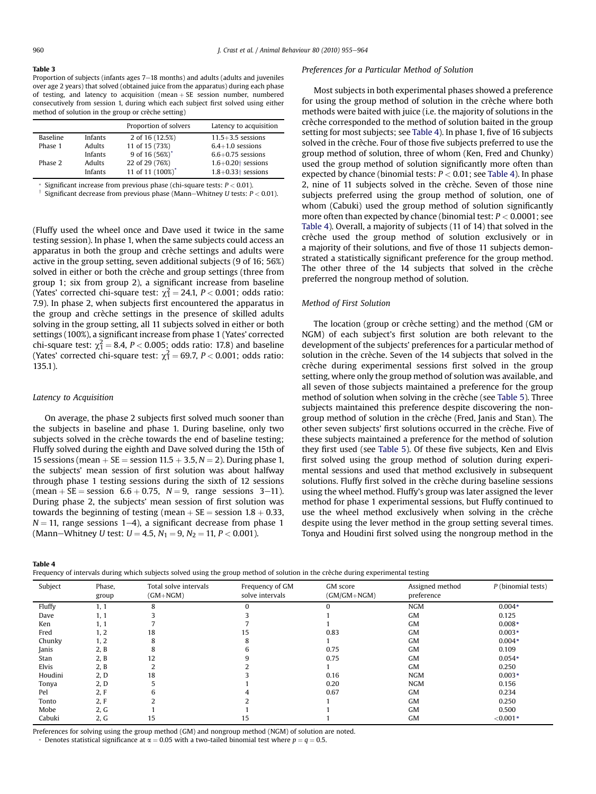<span id="page-5-0"></span>Table 3

## Proportion of subjects (infants ages  $7-18$  months) and adults (adults and juveniles over age 2 years) that solved (obtained juice from the apparatus) during each phase of testing, and latency to acquisition (mean  $+$  SE session number, numbered consecutively from session 1, during which each subject first solved using either method of solution in the group or crèche setting)

|          |               | Proportion of solvers | Latency to acquisition |
|----------|---------------|-----------------------|------------------------|
| Baseline | Infants       | 2 of 16 (12.5%)       | $11.5+3.5$ sessions    |
| Phase 1  | <b>Adults</b> | 11 of 15 (73%)        | $6.4+1.0$ sessions     |
|          | Infants       | 9 of 16 (56%)*        | $6.6 + 0.75$ sessions  |
| Phase 2  | <b>Adults</b> | 22 of 29 (76%)        | $1.6 + 0.20$ sessions  |
|          | Infants       | 11 of 11 (100%)*      | $1.8 + 0.33$ sessions  |

Significant increase from previous phase (chi-square tests:  $P < 0.01$ ). <sup> $\dagger$ </sup> Significant decrease from previous phase (Mann–Whitney U tests:  $P < 0.01$ ).

(Fluffy used the wheel once and Dave used it twice in the same testing session). In phase 1, when the same subjects could access an apparatus in both the group and crèche settings and adults were active in the group setting, seven additional subjects (9 of 16; 56%) solved in either or both the crèche and group settings (three from group 1; six from group 2), a significant increase from baseline (Yates' corrected chi-square test:  $\chi_1^2 = 24.1$ ,  $P < 0.001$ ; odds ratio: 7.9). In phase 2, when subjects first encountered the apparatus in the group and crèche settings in the presence of skilled adults solving in the group setting, all 11 subjects solved in either or both settings (100%), a significant increase from phase 1 (Yates' corrected chi-square test:  $\chi_1^2 = 8.4$ ,  $P < 0.005$ ; odds ratio: 17.8) and baseline (Yates' corrected chi-square test:  $\chi_1^2 = 69.7$ ,  $P < 0.001$ ; odds ratio: 135.1).

## Latency to Acquisition

On average, the phase 2 subjects first solved much sooner than the subjects in baseline and phase 1. During baseline, only two subjects solved in the crèche towards the end of baseline testing; Fluffy solved during the eighth and Dave solved during the 15th of 15 sessions (mean  $+$  SE = session 11.5  $+$  3.5, N = 2). During phase 1, the subjects' mean session of first solution was about halfway through phase 1 testing sessions during the sixth of 12 sessions  $(mean + SE = session 6.6 + 0.75, N = 9, range sessions 3-11).$ During phase 2, the subjects' mean session of first solution was towards the beginning of testing (mean  $+$  SE = session 1.8  $+$  0.33,  $N = 11$ , range sessions 1-4), a significant decrease from phase 1 (Mann–Whitney U test:  $U = 4.5$ ,  $N_1 = 9$ ,  $N_2 = 11$ ,  $P < 0.001$ ).

Most subjects in both experimental phases showed a preference for using the group method of solution in the crèche where both methods were baited with juice (i.e. the majority of solutions in the crèche corresponded to the method of solution baited in the group setting for most subjects; see Table 4). In phase 1, five of 16 subjects solved in the crèche. Four of those five subjects preferred to use the group method of solution, three of whom (Ken, Fred and Chunky) used the group method of solution significantly more often than expected by chance (binomial tests:  $P < 0.01$ ; see Table 4). In phase 2, nine of 11 subjects solved in the crèche. Seven of those nine subjects preferred using the group method of solution, one of whom (Cabuki) used the group method of solution significantly more often than expected by chance (binomial test:  $P < 0.0001$ ; see Table 4). Overall, a majority of subjects (11 of 14) that solved in the crèche used the group method of solution exclusively or in a majority of their solutions, and five of those 11 subjects demonstrated a statistically significant preference for the group method. The other three of the 14 subjects that solved in the crèche preferred the nongroup method of solution.

## Method of First Solution

The location (group or crèche setting) and the method (GM or NGM) of each subject's first solution are both relevant to the development of the subjects' preferences for a particular method of solution in the crèche. Seven of the 14 subjects that solved in the crèche during experimental sessions first solved in the group setting, where only the group method of solution was available, and all seven of those subjects maintained a preference for the group method of solution when solving in the crèche (see [Table 5](#page-6-0)). Three subjects maintained this preference despite discovering the nongroup method of solution in the crèche (Fred, Janis and Stan). The other seven subjects' first solutions occurred in the crèche. Five of these subjects maintained a preference for the method of solution they first used (see [Table 5\)](#page-6-0). Of these five subjects, Ken and Elvis first solved using the group method of solution during experimental sessions and used that method exclusively in subsequent solutions. Fluffy first solved in the crèche during baseline sessions using the wheel method. Fluffy's group was later assigned the lever method for phase 1 experimental sessions, but Fluffy continued to use the wheel method exclusively when solving in the crèche despite using the lever method in the group setting several times. Tonya and Houdini first solved using the nongroup method in the

|--|--|

Frequency of intervals during which subjects solved using the group method of solution in the crèche during experimental testing

| Subject | Phase,<br>group | Total solve intervals<br>$(GM+NGM)$ | Frequency of GM<br>solve intervals | GM score<br>$(GM/GM+NGM)$ | Assigned method<br>preference | $P$ (binomial tests) |
|---------|-----------------|-------------------------------------|------------------------------------|---------------------------|-------------------------------|----------------------|
| Fluffy  | 1, 1            |                                     |                                    | $\Omega$                  | <b>NGM</b>                    | $0.004*$             |
| Dave    | 1, 1            |                                     |                                    |                           | <b>GM</b>                     | 0.125                |
| Ken     | 1, 1            |                                     |                                    |                           | <b>GM</b>                     | $0.008*$             |
| Fred    | 1, 2            | 18                                  | 15                                 | 0.83                      | <b>GM</b>                     | $0.003*$             |
| Chunky  | 1, 2            | õ                                   |                                    |                           | <b>GM</b>                     | $0.004*$             |
| Janis   | 2, B            |                                     |                                    | 0.75                      | <b>GM</b>                     | 0.109                |
| Stan    | 2, B            | 12                                  |                                    | 0.75                      | <b>GM</b>                     | $0.054*$             |
| Elvis   | 2, B            |                                     |                                    |                           | <b>GM</b>                     | 0.250                |
| Houdini | 2, D            | 18                                  |                                    | 0.16                      | <b>NGM</b>                    | $0.003*$             |
| Tonya   | 2, D            |                                     |                                    | 0.20                      | <b>NGM</b>                    | 0.156                |
| Pel     | 2. F            |                                     |                                    | 0.67                      | <b>GM</b>                     | 0.234                |
| Tonto   | 2, F            |                                     |                                    |                           | <b>GM</b>                     | 0.250                |
| Mobe    | 2, G            |                                     |                                    |                           | <b>GM</b>                     | 0.500                |
| Cabuki  | 2, G            | 15                                  | 15                                 |                           | <b>GM</b>                     | $< 0.001*$           |

Preferences for solving using the group method (GM) and nongroup method (NGM) of solution are noted.

 $*$  Denotes statistical significance at  $\alpha = 0.05$  with a two-tailed binomial test where  $p = q = 0.5$ .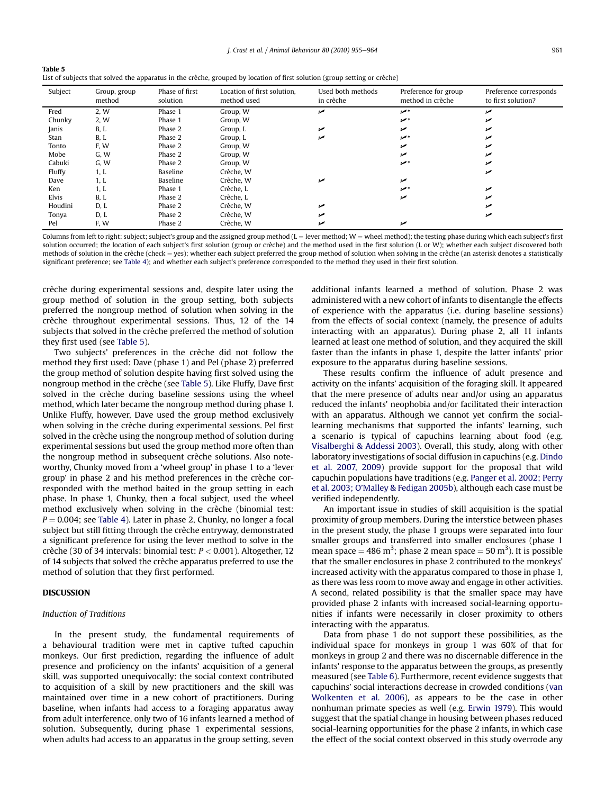<span id="page-6-0"></span>

| Table 5                                                                                                                   |
|---------------------------------------------------------------------------------------------------------------------------|
| List of subjects that solved the apparatus in the crèche, grouped by location of first solution (group setting or crèche) |

| Subject | Group, group<br>method | Phase of first<br>solution | Location of first solution.<br>method used | Used both methods<br>in crèche | Preference for group<br>method in crèche | Preference corresponds<br>to first solution? |
|---------|------------------------|----------------------------|--------------------------------------------|--------------------------------|------------------------------------------|----------------------------------------------|
| Fred    | 2, W                   | Phase 1                    | Group, W                                   | مما                            | $\mathbf{v}^*$                           | مما                                          |
| Chunky  | 2, W                   | Phase 1                    | Group, W                                   |                                | $\blacktriangleright$                    | مما                                          |
| Janis   | B, L                   | Phase 2                    | Group, L                                   | مما                            | ✔                                        | ້                                            |
| Stan    | B, L                   | Phase 2                    | Group, L                                   | مما                            | $\blacktriangleright$                    | ້                                            |
| Tonto   | F, W                   | Phase 2                    | Group, W                                   |                                | مما                                      | ້                                            |
| Mobe    | G, W                   | Phase 2                    | Group, W                                   |                                | مما                                      |                                              |
| Cabuki  | G, W                   | Phase 2                    | Group, W                                   |                                | $\blacktriangleright$                    | ້                                            |
| Fluffy  | 1, L                   | Baseline                   | Crèche. W                                  |                                |                                          | ✔                                            |
| Dave    | 1, L                   | Baseline                   | Crèche. W                                  | مما                            | مما                                      |                                              |
| Ken     | 1, L                   | Phase 1                    | Crèche, L                                  |                                | $\mathbf{v}^*$                           | مما                                          |
| Elvis   | B, L                   | Phase 2                    | Crèche, L                                  |                                | ✔                                        |                                              |
| Houdini | D, L                   | Phase 2                    | Crèche. W                                  | مما                            |                                          | ✔                                            |
| Tonya   | D, L                   | Phase 2                    | Crèche. W                                  | ✔                              |                                          | مما                                          |
| Pel     | F, W                   | Phase 2                    | Crèche. W                                  | مما                            | ↙                                        |                                              |

Columns from left to right: subject; subject's group and the assigned group method (L = lever method; W = wheel method); the testing phase during which each subject's first solution occurred; the location of each subject's first solution (group or crèche) and the method used in the first solution (L or W); whether each subject discovered both methods of solution in the crèche (check = yes); whether each subject preferred the group method of solution when solving in the crèche (an asterisk denotes a statistically significant preference; see [Table 4](#page-5-0)); and whether each subject's preference corresponded to the method they used in their first solution.

crèche during experimental sessions and, despite later using the group method of solution in the group setting, both subjects preferred the nongroup method of solution when solving in the crèche throughout experimental sessions. Thus, 12 of the 14 subjects that solved in the crèche preferred the method of solution they first used (see Table 5).

Two subjects' preferences in the crèche did not follow the method they first used: Dave (phase 1) and Pel (phase 2) preferred the group method of solution despite having first solved using the nongroup method in the crèche (see Table 5). Like Fluffy, Dave first solved in the crèche during baseline sessions using the wheel method, which later became the nongroup method during phase 1. Unlike Fluffy, however, Dave used the group method exclusively when solving in the crèche during experimental sessions. Pel first solved in the crèche using the nongroup method of solution during experimental sessions but used the group method more often than the nongroup method in subsequent crèche solutions. Also noteworthy, Chunky moved from a 'wheel group' in phase 1 to a 'lever group' in phase 2 and his method preferences in the crèche corresponded with the method baited in the group setting in each phase. In phase 1, Chunky, then a focal subject, used the wheel method exclusively when solving in the crèche (binomial test:  $P = 0.004$ ; see [Table 4\)](#page-5-0). Later in phase 2, Chunky, no longer a focal subject but still fitting through the crèche entryway, demonstrated a significant preference for using the lever method to solve in the crèche (30 of 34 intervals: binomial test: P < 0.001). Altogether, 12 of 14 subjects that solved the crèche apparatus preferred to use the method of solution that they first performed.

# DISCUSSION

# Induction of Traditions

In the present study, the fundamental requirements of a behavioural tradition were met in captive tufted capuchin monkeys. Our first prediction, regarding the influence of adult presence and proficiency on the infants' acquisition of a general skill, was supported unequivocally: the social context contributed to acquisition of a skill by new practitioners and the skill was maintained over time in a new cohort of practitioners. During baseline, when infants had access to a foraging apparatus away from adult interference, only two of 16 infants learned a method of solution. Subsequently, during phase 1 experimental sessions, when adults had access to an apparatus in the group setting, seven

additional infants learned a method of solution. Phase 2 was administered with a new cohort of infants to disentangle the effects of experience with the apparatus (i.e. during baseline sessions) from the effects of social context (namely, the presence of adults interacting with an apparatus). During phase 2, all 11 infants learned at least one method of solution, and they acquired the skill faster than the infants in phase 1, despite the latter infants' prior exposure to the apparatus during baseline sessions.

These results confirm the influence of adult presence and activity on the infants' acquisition of the foraging skill. It appeared that the mere presence of adults near and/or using an apparatus reduced the infants' neophobia and/or facilitated their interaction with an apparatus. Although we cannot yet confirm the sociallearning mechanisms that supported the infants' learning, such a scenario is typical of capuchins learning about food (e.g. [Visalberghi & Addessi 2003\)](#page-9-0). Overall, this study, along with other laboratory investigations of social diffusion in capuchins (e.g. [Dindo](#page-8-0) [et al. 2007, 2009\)](#page-8-0) provide support for the proposal that wild capuchin populations have traditions (e.g. [Panger et al. 2002; Perry](#page-8-0) et al. 2003; O'[Malley & Fedigan 2005b\)](#page-8-0), although each case must be verified independently.

An important issue in studies of skill acquisition is the spatial proximity of group members. During the interstice between phases in the present study, the phase 1 groups were separated into four smaller groups and transferred into smaller enclosures (phase 1 mean space =  $486 \text{ m}^3$ ; phase 2 mean space =  $50 \text{ m}^3$ ). It is possible that the smaller enclosures in phase 2 contributed to the monkeys' increased activity with the apparatus compared to those in phase 1, as there was less room to move away and engage in other activities. A second, related possibility is that the smaller space may have provided phase 2 infants with increased social-learning opportunities if infants were necessarily in closer proximity to others interacting with the apparatus.

Data from phase 1 do not support these possibilities, as the individual space for monkeys in group 1 was 60% of that for monkeys in group 2 and there was no discernable difference in the infants' response to the apparatus between the groups, as presently measured (see [Table 6](#page-7-0)). Furthermore, recent evidence suggests that capuchins' social interactions decrease in crowded conditions [\(van](#page-9-0) [Wolkenten et al. 2006](#page-9-0)), as appears to be the case in other nonhuman primate species as well (e.g. [Erwin 1979\)](#page-8-0). This would suggest that the spatial change in housing between phases reduced social-learning opportunities for the phase 2 infants, in which case the effect of the social context observed in this study overrode any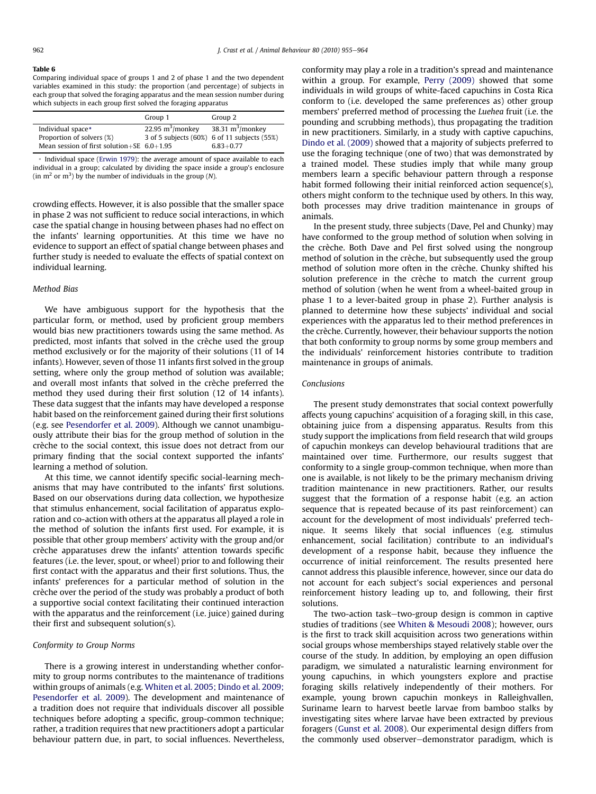#### <span id="page-7-0"></span>Table 6

Comparing individual space of groups 1 and 2 of phase 1 and the two dependent variables examined in this study: the proportion (and percentage) of subjects in each group that solved the foraging apparatus and the mean session number during which subjects in each group first solved the foraging apparatus

|                                              | Group 1             | Group 2                                      |
|----------------------------------------------|---------------------|----------------------------------------------|
| Individual space*                            | 22.95 $m^3$ /monkey | 38.31 $m^3$ /monkey                          |
| Proportion of solvers (%)                    |                     | 3 of 5 subjects (60%) 6 of 11 subjects (55%) |
| Mean session of first solution+SE $6.0+1.95$ |                     | $6.83 + 0.77$                                |

\* Individual space [\(Erwin 1979\)](#page-8-0): the average amount of space available to each individual in a group; calculated by dividing the space inside a group's enclosure (in m<sup>2</sup> or m<sup>3</sup>) by the number of individuals in the group (N).

crowding effects. However, it is also possible that the smaller space in phase 2 was not sufficient to reduce social interactions, in which case the spatial change in housing between phases had no effect on the infants' learning opportunities. At this time we have no evidence to support an effect of spatial change between phases and further study is needed to evaluate the effects of spatial context on individual learning.

#### Method Bias

We have ambiguous support for the hypothesis that the particular form, or method, used by proficient group members would bias new practitioners towards using the same method. As predicted, most infants that solved in the crèche used the group method exclusively or for the majority of their solutions (11 of 14 infants). However, seven of those 11 infants first solved in the group setting, where only the group method of solution was available; and overall most infants that solved in the crèche preferred the method they used during their first solution (12 of 14 infants). These data suggest that the infants may have developed a response habit based on the reinforcement gained during their first solutions (e.g. see [Pesendorfer et al. 2009](#page-9-0)). Although we cannot unambiguously attribute their bias for the group method of solution in the crèche to the social context, this issue does not detract from our primary finding that the social context supported the infants' learning a method of solution.

At this time, we cannot identify specific social-learning mechanisms that may have contributed to the infants' first solutions. Based on our observations during data collection, we hypothesize that stimulus enhancement, social facilitation of apparatus exploration and co-action with others at the apparatus all played a role in the method of solution the infants first used. For example, it is possible that other group members' activity with the group and/or crèche apparatuses drew the infants' attention towards specific features (i.e. the lever, spout, or wheel) prior to and following their first contact with the apparatus and their first solutions. Thus, the infants' preferences for a particular method of solution in the crèche over the period of the study was probably a product of both a supportive social context facilitating their continued interaction with the apparatus and the reinforcement (i.e. juice) gained during their first and subsequent solution(s).

#### Conformity to Group Norms

There is a growing interest in understanding whether conformity to group norms contributes to the maintenance of traditions within groups of animals (e.g. [Whiten et al. 2005; Dindo et al. 2009;](#page-9-0) [Pesendorfer et al. 2009\)](#page-9-0). The development and maintenance of a tradition does not require that individuals discover all possible techniques before adopting a specific, group-common technique; rather, a tradition requires that new practitioners adopt a particular behaviour pattern due, in part, to social influences. Nevertheless, conformity may play a role in a tradition's spread and maintenance within a group. For example, [Perry \(2009\)](#page-8-0) showed that some individuals in wild groups of white-faced capuchins in Costa Rica conform to (i.e. developed the same preferences as) other group members' preferred method of processing the Luehea fruit (i.e. the pounding and scrubbing methods), thus propagating the tradition in new practitioners. Similarly, in a study with captive capuchins, [Dindo et al. \(2009\)](#page-8-0) showed that a majority of subjects preferred to use the foraging technique (one of two) that was demonstrated by a trained model. These studies imply that while many group members learn a specific behaviour pattern through a response habit formed following their initial reinforced action sequence(s), others might conform to the technique used by others. In this way, both processes may drive tradition maintenance in groups of animals.

In the present study, three subjects (Dave, Pel and Chunky) may have conformed to the group method of solution when solving in the crèche. Both Dave and Pel first solved using the nongroup method of solution in the crèche, but subsequently used the group method of solution more often in the crèche. Chunky shifted his solution preference in the crèche to match the current group method of solution (when he went from a wheel-baited group in phase 1 to a lever-baited group in phase 2). Further analysis is planned to determine how these subjects' individual and social experiences with the apparatus led to their method preferences in the crèche. Currently, however, their behaviour supports the notion that both conformity to group norms by some group members and the individuals' reinforcement histories contribute to tradition maintenance in groups of animals.

# Conclusions

The present study demonstrates that social context powerfully affects young capuchins' acquisition of a foraging skill, in this case, obtaining juice from a dispensing apparatus. Results from this study support the implications from field research that wild groups of capuchin monkeys can develop behavioural traditions that are maintained over time. Furthermore, our results suggest that conformity to a single group-common technique, when more than one is available, is not likely to be the primary mechanism driving tradition maintenance in new practitioners. Rather, our results suggest that the formation of a response habit (e.g. an action sequence that is repeated because of its past reinforcement) can account for the development of most individuals' preferred technique. It seems likely that social influences (e.g. stimulus enhancement, social facilitation) contribute to an individual's development of a response habit, because they influence the occurrence of initial reinforcement. The results presented here cannot address this plausible inference, however, since our data do not account for each subject's social experiences and personal reinforcement history leading up to, and following, their first solutions.

The two-action task-two-group design is common in captive studies of traditions (see [Whiten & Mesoudi 2008](#page-9-0)); however, ours is the first to track skill acquisition across two generations within social groups whose memberships stayed relatively stable over the course of the study. In addition, by employing an open diffusion paradigm, we simulated a naturalistic learning environment for young capuchins, in which youngsters explore and practise foraging skills relatively independently of their mothers. For example, young brown capuchin monkeys in Ralleighvallen, Suriname learn to harvest beetle larvae from bamboo stalks by investigating sites where larvae have been extracted by previous foragers [\(Gunst et al. 2008](#page-8-0)). Our experimental design differs from the commonly used observer-demonstrator paradigm, which is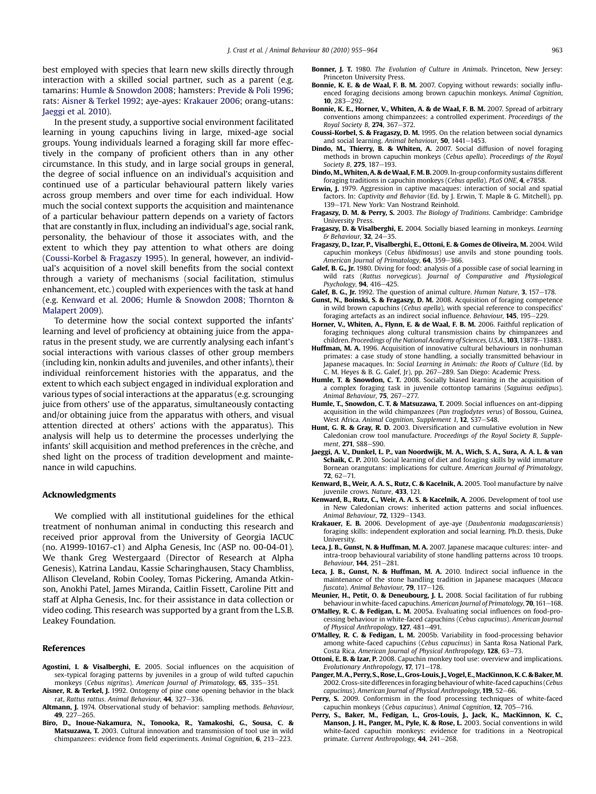<span id="page-8-0"></span>best employed with species that learn new skills directly through interaction with a skilled social partner, such as a parent (e.g. tamarins: Humle & Snowdon 2008; hamsters: [Previde & Poli 1996;](#page-9-0) rats: Aisner & Terkel 1992; aye-ayes: Krakauer 2006; orang-utans: Jaeggi et al. 2010).

In the present study, a supportive social environment facilitated learning in young capuchins living in large, mixed-age social groups. Young individuals learned a foraging skill far more effectively in the company of proficient others than in any other circumstance. In this study, and in large social groups in general, the degree of social influence on an individual's acquisition and continued use of a particular behavioural pattern likely varies across group members and over time for each individual. How much the social context supports the acquisition and maintenance of a particular behaviour pattern depends on a variety of factors that are constantly in flux, including an individual's age, social rank, personality, the behaviour of those it associates with, and the extent to which they pay attention to what others are doing (Coussi-Korbel & Fragaszy 1995). In general, however, an individual's acquisition of a novel skill benefits from the social context through a variety of mechanisms (social facilitation, stimulus enhancement, etc.) coupled with experiences with the task at hand (e.g. Kenward et al. 2006; Humle & Snowdon 2008; Thornton & Malapert 2009).

To determine how the social context supported the infants' learning and level of proficiency at obtaining juice from the apparatus in the present study, we are currently analysing each infant's social interactions with various classes of other group members (including kin, nonkin adults and juveniles, and other infants), their individual reinforcement histories with the apparatus, and the extent to which each subject engaged in individual exploration and various types of social interactions at the apparatus (e.g. scrounging juice from others' use of the apparatus, simultaneously contacting and/or obtaining juice from the apparatus with others, and visual attention directed at others' actions with the apparatus). This analysis will help us to determine the processes underlying the infants' skill acquisition and method preferences in the crèche, and shed light on the process of tradition development and maintenance in wild capuchins.

#### Acknowledgments

We complied with all institutional guidelines for the ethical treatment of nonhuman animal in conducting this research and received prior approval from the University of Georgia IACUC (no. A1999-10167-c1) and Alpha Genesis, Inc (ASP no. 00-04-01). We thank Greg Westergaard (Director of Research at Alpha Genesis), Katrina Landau, Kassie Scharinghausen, Stacy Chambliss, Allison Cleveland, Robin Cooley, Tomas Pickering, Amanda Atkinson, Anokhi Patel, James Miranda, Caitlin Fissett, Caroline Pitt and staff at Alpha Genesis, Inc. for their assistance in data collection or video coding. This research was supported by a grant from the L.S.B. Leakey Foundation.

#### References

- Agostini, I. & Visalberghi, E. 2005. Social influences on the acquisition of sex-typical foraging patterns by juveniles in a group of wild tufted capuchin monkeys (Cebus nigritus). American Journal of Primatology, 65, 335-351.
- Aisner, R. & Terkel, J. 1992. Ontogeny of pine cone opening behavior in the black rat, Rattus rattus. Animal Behaviour, 44, 327-336.
- Altmann, J. 1974. Observational study of behavior: sampling methods. Behaviour, 49,  $227 - 265$ .
- Biro, D., Inoue-Nakamura, N., Tonooka, R., Yamakoshi, G., Sousa, C. & Matsuzawa, T. 2003. Cultural innovation and transmission of tool use in wild chimpanzees: evidence from field experiments. Animal Cognition,  $6$ , 213–223.
- Bonner, J. T. 1980. The Evolution of Culture in Animals. Princeton, New Jersey: Princeton University Press.
- Bonnie, K. E. & de Waal, F. B. M. 2007. Copying without rewards: socially influenced foraging decisions among brown capuchin monkeys. Animal Cognition,  $10.283 - 292.$
- Bonnie, K. E., Horner, V., Whiten, A. & de Waal, F. B. M. 2007. Spread of arbitrary conventions among chimpanzees: a controlled experiment. Proceedings of the Royal Society B,  $274$ ,  $367-372$ .
- Coussi-Korbel, S. & Fragaszy, D. M. 1995. On the relation between social dynamics and social learning. Animal behaviour,  $50$ ,  $1441-1453$ .
- Dindo, M., Thierry, B. & Whiten, A. 2007. Social diffusion of novel foraging methods in brown capuchin monkeys (Cebus apella). Proceedings of the Royal Society B, 275, 187-193.
- Dindo,M.,Whiten, A. & deWaal, F. M. B. 2009. In-group conformity sustains different foraging traditions in capuchin monkeys (Cebus apella). PLoS ONE, 4, e7858.
- Erwin, J. 1979. Aggression in captive macaques: interaction of social and spatial factors. In: Captivity and Behavior (Ed. by J. Erwin, T. Maple & G. Mitchell), pp. 139-171. New York: Van Nostrand Reinhold.
- Fragaszy, D. M. & Perry, S. 2003. The Biology of Traditions. Cambridge: Cambridge University Press.
- Fragaszy, D. & Visalberghi, E. 2004. Socially biased learning in monkeys. Learning  $&$  Behaviour, 32, 24-35.
- Fragaszy, D., Izar, P., Visalberghi, E., Ottoni, E. & Gomes de Oliveira, M. 2004. Wild capuchin monkeys (Cebus libidinosus) use anvils and stone pounding tools. American Journal of Primatology, 64, 359-366.
- Galef, B. G., Jr. 1980. Diving for food: analysis of a possible case of social learning in wild rats (Rattus norvegicus). Journal of Comparative and Physiological  $P<sub>svcholoy</sub>$  94, 416-425.
- Galef, B. G., Jr. 1992. The question of animal culture. Human Nature, 3, 157-178.
- Gunst, N., Boinski, S. & Fragaszy, D. M. 2008. Acquisition of foraging competence in wild brown capuchins (Cebus apella), with special reference to conspecifics' foraging artefacts as an indirect social influence. Behaviour, 145, 195-229.
- Horner, V., Whiten, A., Flynn, E. & de Waal, F. B. M. 2006. Faithful replication of foraging techniques along cultural transmission chains by chimpanzees and children. Proceedings of the National Academy of Sciences, U.S.A., 103, 13878-13883.
- Huffman, M. A. 1996. Acquisition of innovative cultural behaviours in nonhuman primates: a case study of stone handling, a socially transmitted behaviour in Japanese macaques. In: Social Learning in Animals: the Roots of Culture (Ed. by C. M. Heyes & B. G. Galef, Jr), pp. 267-289. San Diego: Academic Press.
- Humle, T. & Snowdon, C. T. 2008. Socially biased learning in the acquisition of a complex foraging task in juvenile cottontop tamarins (Saguinus oedipus). Animal Behaviour, 75, 267-277.
- Humle, T., Snowdon, C. T. & Matsuzawa, T. 2009. Social influences on ant-dipping acquisition in the wild chimpanzees (Pan troglodytes verus) of Bossou, Guinea, West Africa. Animal Cognition, Supplement 1, 12, S37-S48.
- Hunt, G. R. & Gray, R. D. 2003. Diversification and cumulative evolution in New Caledonian crow tool manufacture. Proceedings of the Royal Society B, Supplement, 271, S88-S90.
- Jaeggi, A. V., Dunkel, L. P., van Noordwijk, M. A., Wich, S. A., Sura, A. A. L. & van Schaik, C. P. 2010. Social learning of diet and foraging skills by wild immature Bornean orangutans: implications for culture. American Journal of Primatology,  $72.62 - 71$
- Kenward, B., Weir, A. A. S., Rutz, C. & Kacelnik, A. 2005. Tool manufacture by naïve juvenile crows. Nature, 433, 121.
- Kenward, B., Rutz, C., Weir, A. A. S. & Kacelnik, A. 2006. Development of tool use in New Caledonian crows: inherited action patterns and social influences. Animal Behaviour, 72, 1329-1343.
- Krakauer, E. B. 2006. Development of aye-aye (Daubentonia madagascariensis) foraging skills: independent exploration and social learning. Ph.D. thesis, Duke University.
- Leca, J. B., Gunst, N. & Huffman, M. A. 2007. Japanese macaque cultures: inter- and intra-troop behavioural variability of stone handling patterns across 10 troops. Behaviour, 144, 251-281.
- Leca, J. B., Gunst, N. & Huffman, M. A. 2010. Indirect social influence in the maintenance of the stone handling tradition in Japanese macaques (Macaca fuscata). Animal Behaviour,  $79$ ,  $117-126$ .
- Meunier, H., Petit, O. & Deneubourg, J. L. 2008. Social facilitation of fur rubbing behaviour in white-faced capuchins. American Journal of Primatology, 70, 161-168.
- O'Malley, R. C. & Fedigan, L. M. 2005a. Evaluating social influences on food-processing behaviour in white-faced capuchins (Cebus capucinus). American Journal of Physical Anthropology, 127, 481-491.
- O'Malley, R. C. & Fedigan, L. M. 2005b. Variability in food-processing behavior among white-faced capuchins (Cebus capucinus) in Santa Rosa National Park, Costa Rica. American Journal of Physical Anthropology, 128, 63-73.
- Ottoni, E. B. & Izar, P. 2008. Capuchin monkey tool use: overview and implications. Evolutionary Anthropology, 17, 171-178.
- Panger, M. A., Perry, S., Rose, L., Gros-Louis, J., Vogel, E., MacKinnon, K. C. & Baker, M. 2002. Cross-site differences in foraging behaviour of white-faced capuchins (Cebus capucinus). American Journal of Physical Anthropology, 119, 52-66.
- Perry, S. 2009. Conformism in the food processing techniques of white-faced capuchin monkeys (Cebus capucinus). Animal Cognition, 12, 705-716.
- Perry, S., Baker, M., Fedigan, L., Gros-Louis, J., Jack, K., MacKinnon, K. C.,<br>Manson, J. H., Panger, M., Pyle, K. & Rose, L. 2003. Social conventions in wild white-faced capuchin monkeys: evidence for traditions in a Neotropical primate. Current Anthropology, **44**, 241–268.